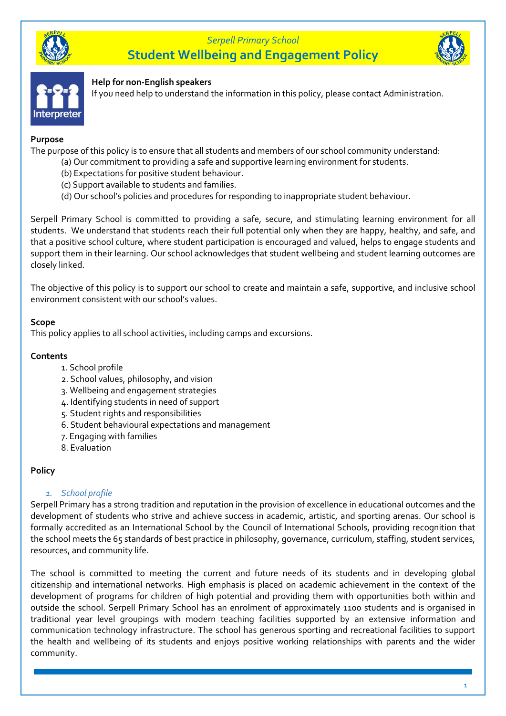

# *Serpell Primary School* **Student Wellbeing and Engagement Policy**





#### **Help for non-English speakers**

If you need help to understand the information in this policy, please contact Administration.

#### **Purpose**

The purpose of this policy is to ensure that all students and members of our school community understand:

- (a) Our commitment to providing a safe and supportive learning environment for students.
	- (b) Expectations for positive student behaviour.
	- (c) Support available to students and families.
	- (d) Our school's policies and procedures for responding to inappropriate student behaviour.

Serpell Primary School is committed to providing a safe, secure, and stimulating learning environment for all students. We understand that students reach their full potential only when they are happy, healthy, and safe, and that a positive school culture, where student participation is encouraged and valued, helps to engage students and support them in their learning. Our school acknowledges that student wellbeing and student learning outcomes are closely linked.

The objective of this policy is to support our school to create and maintain a safe, supportive, and inclusive school environment consistent with our school's values.

#### **Scope**

This policy applies to all school activities, including camps and excursions.

#### **Contents**

- 1. School profile
- 2. School values, philosophy, and vision
- 3. Wellbeing and engagement strategies
- 4. Identifying students in need of support
- 5. Student rights and responsibilities
- 6. Student behavioural expectations and management
- 7. Engaging with families
- 8. Evaluation

### **Policy**

### *1. School profile*

Serpell Primary has a strong tradition and reputation in the provision of excellence in educational outcomes and the development of students who strive and achieve success in academic, artistic, and sporting arenas. Our school is formally accredited as an International School by the Council of International Schools, providing recognition that the school meets the 65 standards of best practice in philosophy, governance, curriculum, staffing, student services, resources, and community life.

The school is committed to meeting the current and future needs of its students and in developing global citizenship and international networks. High emphasis is placed on academic achievement in the context of the development of programs for children of high potential and providing them with opportunities both within and outside the school. Serpell Primary School has an enrolment of approximately 1100 students and is organised in traditional year level groupings with modern teaching facilities supported by an extensive information and communication technology infrastructure. The school has generous sporting and recreational facilities to support the health and wellbeing of its students and enjoys positive working relationships with parents and the wider community.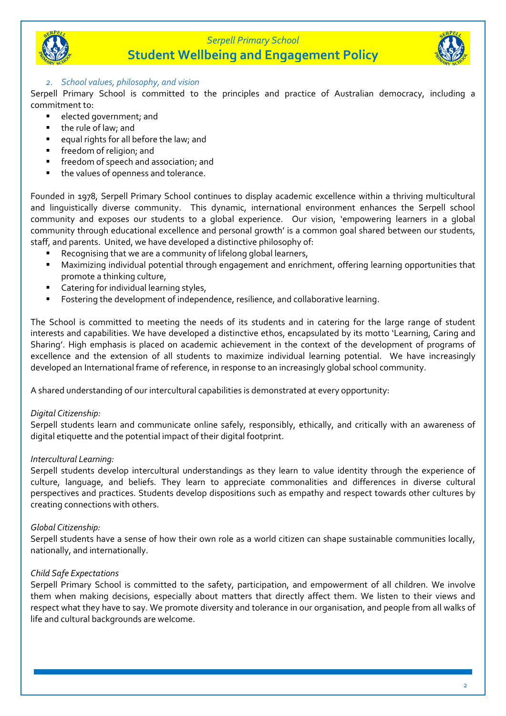

# **Student Wellbeing and Engagement Policy**



Serpell Primary School is committed to the principles and practice of Australian democracy, including a commitment to:

- elected government; and
- the rule of law; and
- equal rights for all before the law; and
- **■** freedom of religion; and
- **·** freedom of speech and association; and
- the values of openness and tolerance.

Founded in 1978, Serpell Primary School continues to display academic excellence within a thriving multicultural and linguistically diverse community. This dynamic, international environment enhances the Serpell school community and exposes our students to a global experience. Our vision, 'empowering learners in a global community through educational excellence and personal growth' is a common goal shared between our students, staff, and parents. United, we have developed a distinctive philosophy of:

- Recognising that we are a community of lifelong global learners,
- Maximizing individual potential through engagement and enrichment, offering learning opportunities that promote a thinking culture,
- Catering for individual learning styles,
- Fostering the development of independence, resilience, and collaborative learning.

The School is committed to meeting the needs of its students and in catering for the large range of student interests and capabilities. We have developed a distinctive ethos, encapsulated by its motto 'Learning, Caring and Sharing'. High emphasis is placed on academic achievement in the context of the development of programs of excellence and the extension of all students to maximize individual learning potential. We have increasingly developed an International frame of reference, in response to an increasingly global school community.

A shared understanding of our intercultural capabilities is demonstrated at every opportunity:

#### *Digital Citizenship:*

Serpell students learn and communicate online safely, responsibly, ethically, and critically with an awareness of digital etiquette and the potential impact of their digital footprint.

#### *Intercultural Learning:*

Serpell students develop intercultural understandings as they learn to value identity through the experience of culture, language, and beliefs. They learn to appreciate commonalities and differences in diverse cultural perspectives and practices. Students develop dispositions such as empathy and respect towards other cultures by creating connections with others.

#### *Global Citizenship:*

Serpell students have a sense of how their own role as a world citizen can shape sustainable communities locally, nationally, and internationally.

#### *Child Safe Expectations*

Serpell Primary School is committed to the safety, participation, and empowerment of all children. We involve them when making decisions, especially about matters that directly affect them. We listen to their views and respect what they have to say. We promote diversity and tolerance in our organisation, and people from all walks of life and cultural backgrounds are welcome.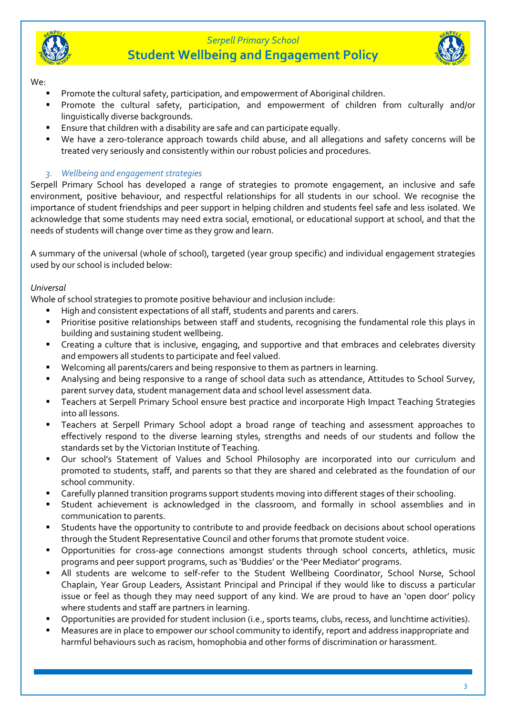

# *Serpell Primary School* **Student Wellbeing and Engagement Policy**



We:

- Promote the cultural safety, participation, and empowerment of Aboriginal children.
- Promote the cultural safety, participation, and empowerment of children from culturally and/or linguistically diverse backgrounds.
- Ensure that children with a disability are safe and can participate equally.
- We have a zero-tolerance approach towards child abuse, and all allegations and safety concerns will be treated very seriously and consistently within our robust policies and procedures.

# *3. Wellbeing and engagement strategies*

Serpell Primary School has developed a range of strategies to promote engagement, an inclusive and safe environment, positive behaviour, and respectful relationships for all students in our school. We recognise the importance of student friendships and peer support in helping children and students feel safe and less isolated. We acknowledge that some students may need extra social, emotional, or educational support at school, and that the needs of students will change over time as they grow and learn.

A summary of the universal (whole of school), targeted (year group specific) and individual engagement strategies used by our school is included below:

### *Universal*

Whole of school strategies to promote positive behaviour and inclusion include:

- High and consistent expectations of all staff, students and parents and carers.
- Prioritise positive relationships between staff and students, recognising the fundamental role this plays in building and sustaining student wellbeing.
- Creating a culture that is inclusive, engaging, and supportive and that embraces and celebrates diversity and empowers all students to participate and feel valued.
- Welcoming all parents/carers and being responsive to them as partners in learning.
- Analysing and being responsive to a range of school data such as attendance, Attitudes to School Survey, parent survey data, student management data and school level assessment data.
- Teachers at Serpell Primary School ensure best practice and incorporate High Impact Teaching Strategies into all lessons.
- Teachers at Serpell Primary School adopt a broad range of teaching and assessment approaches to effectively respond to the diverse learning styles, strengths and needs of our students and follow the standards set by the Victorian Institute of Teaching.
- Our school's Statement of Values and School Philosophy are incorporated into our curriculum and promoted to students, staff, and parents so that they are shared and celebrated as the foundation of our school community.
- Carefully planned transition programs support students moving into different stages of their schooling.
- Student achievement is acknowledged in the classroom, and formally in school assemblies and in communication to parents.
- Students have the opportunity to contribute to and provide feedback on decisions about school operations through the Student Representative Council and other forums that promote student voice.
- Opportunities for cross-age connections amongst students through school concerts, athletics, music programs and peer support programs, such as 'Buddies' or the 'Peer Mediator' programs.
- All students are welcome to self-refer to the Student Wellbeing Coordinator, School Nurse, School Chaplain, Year Group Leaders, Assistant Principal and Principal if they would like to discuss a particular issue or feel as though they may need support of any kind. We are proud to have an 'open door' policy where students and staff are partners in learning.
- Opportunities are provided for student inclusion (i.e., sports teams, clubs, recess, and lunchtime activities).
- Measures are in place to empower our school community to identify, report and address inappropriate and harmful behaviours such as racism, homophobia and other forms of discrimination or harassment.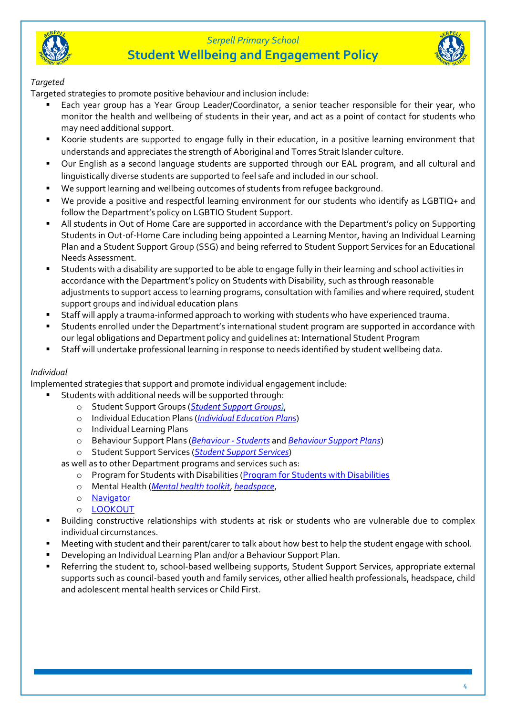

# *Serpell Primary School* **Student Wellbeing and Engagement Policy**



#### *Targeted*

Targeted strategies to promote positive behaviour and inclusion include:

- Each year group has a Year Group Leader/Coordinator, a senior teacher responsible for their year, who monitor the health and wellbeing of students in their year, and act as a point of contact for students who may need additional support.
- Koorie students are supported to engage fully in their education, in a positive learning environment that understands and appreciates the strength of Aboriginal and Torres Strait Islander culture.
- Our English as a second language students are supported through our EAL program, and all cultural and linguistically diverse students are supported to feel safe and included in our school.
- We support learning and wellbeing outcomes of students from refugee background.
- We provide a positive and respectful learning environment for our students who identify as LGBTIQ+ and follow the Department's policy on LGBTIQ Student Support.
- All students in Out of Home Care are supported in accordance with the Department's policy on Supporting Students in Out-of-Home Care including being appointed a Learning Mentor, having an Individual Learning Plan and a Student Support Group (SSG) and being referred to Student Support Services for an Educational Needs Assessment.
- Students with a disability are supported to be able to engage fully in their learning and school activities in accordance with the Department's policy on Students with Disability, such as through reasonable adjustments to support access to learning programs, consultation with families and where required, student support groups and individual education plans
- Staff will apply a trauma-informed approach to working with students who have experienced trauma.
- Students enrolled under the Department's international student program are supported in accordance with our legal obligations and Department policy and guidelines at: International Student Program
- Staff will undertake professional learning in response to needs identified by student wellbeing data.

#### *Individual*

Implemented strategies that support and promote individual engagement include:

- Students with additional needs will be supported through:
	- o Student Support Groups (*[Student Support Groups\)](https://www2.education.vic.gov.au/pal/student-support-groups/policy)*,
	- o Individual Education Plans (*[Individual Education Plans](https://www2.education.vic.gov.au/pal/individual-education-plans-ieps/policy)*)
	- o Individual Learning Plans
	- o Behaviour Support Plans (*[Behaviour -](https://www2.education.vic.gov.au/pal/behaviour-students/policy) Students* and *[Behaviour Support Plans](https://www2.education.vic.gov.au/pal/behaviour-students/guidance/6-behaviour-support-plans)*)
	- o Student Support Services (*[Student Support Services](https://www2.education.vic.gov.au/pal/student-support-services/policy)*)
	- as well as to other Department programs and services such as:
		- o Program for Students with Disabilities [\(Program for Students with Disabilities](https://www.education.vic.gov.au/school/teachers/learningneeds/Pages/psd.aspx)
		- o Mental Health (*[Mental health toolkit](https://www.education.vic.gov.au/school/teachers/health/mentalhealth/Pages/mentalhealthtoolkit.aspx)*, *[headspace](https://www.education.vic.gov.au/school/teachers/health/mentalhealth/Pages/headspace-counselling-secondary.aspx)*,
		- o [Navigator](https://www.education.vic.gov.au/school/teachers/behaviour/engagement/Pages/navigator.aspx)
		- o [LOOKOUT](https://www.education.vic.gov.au/about/programs/Pages/lookout.aspx)
- Building constructive relationships with students at risk or students who are vulnerable due to complex individual circumstances.
- Meeting with student and their parent/carer to talk about how best to help the student engage with school.
- Developing an Individual Learning Plan and/or a Behaviour Support Plan.
- Referring the student to, school-based wellbeing supports, Student Support Services, appropriate external supports such as council-based youth and family services, other allied health professionals, headspace, child and adolescent mental health services or Child First.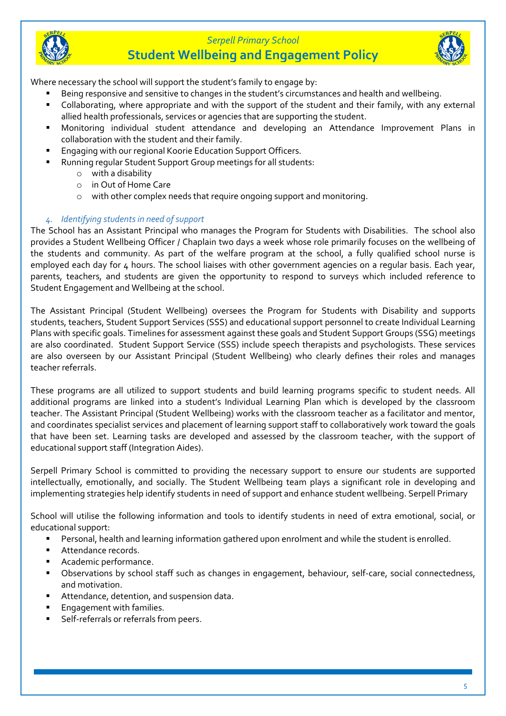



# **Student Wellbeing and Engagement Policy**



Where necessary the school will support the student's family to engage by:

- Being responsive and sensitive to changes in the student's circumstances and health and wellbeing.
- Collaborating, where appropriate and with the support of the student and their family, with any external allied health professionals, services or agencies that are supporting the student.
- Monitoring individual student attendance and developing an Attendance Improvement Plans in collaboration with the student and their family.
- Engaging with our regional Koorie Education Support Officers.
- Running regular Student Support Group meetings for all students:
	- o with a disability
	- o in Out of Home Care
	- o with other complex needs that require ongoing support and monitoring.

### *4. Identifying students in need of support*

The School has an Assistant Principal who manages the Program for Students with Disabilities. The school also provides a Student Wellbeing Officer / Chaplain two days a week whose role primarily focuses on the wellbeing of the students and community. As part of the welfare program at the school, a fully qualified school nurse is employed each day for 4 hours. The school liaises with other government agencies on a regular basis. Each year, parents, teachers, and students are given the opportunity to respond to surveys which included reference to Student Engagement and Wellbeing at the school.

The Assistant Principal (Student Wellbeing) oversees the Program for Students with Disability and supports students, teachers, Student Support Services (SSS) and educational support personnel to create Individual Learning Plans with specific goals. Timelines for assessment against these goals and Student Support Groups (SSG) meetings are also coordinated. Student Support Service (SSS) include speech therapists and psychologists. These services are also overseen by our Assistant Principal (Student Wellbeing) who clearly defines their roles and manages teacher referrals.

These programs are all utilized to support students and build learning programs specific to student needs. All additional programs are linked into a student's Individual Learning Plan which is developed by the classroom teacher. The Assistant Principal (Student Wellbeing) works with the classroom teacher as a facilitator and mentor, and coordinates specialist services and placement of learning support staff to collaboratively work toward the goals that have been set. Learning tasks are developed and assessed by the classroom teacher, with the support of educational support staff (Integration Aides).

Serpell Primary School is committed to providing the necessary support to ensure our students are supported intellectually, emotionally, and socially. The Student Wellbeing team plays a significant role in developing and implementing strategies help identify students in need of support and enhance student wellbeing. Serpell Primary

School will utilise the following information and tools to identify students in need of extra emotional, social, or educational support:

- Personal, health and learning information gathered upon enrolment and while the student is enrolled.
- Attendance records.
- Academic performance.
- Observations by school staff such as changes in engagement, behaviour, self-care, social connectedness, and motivation.
- Attendance, detention, and suspension data.
- Engagement with families.
- Self-referrals or referrals from peers.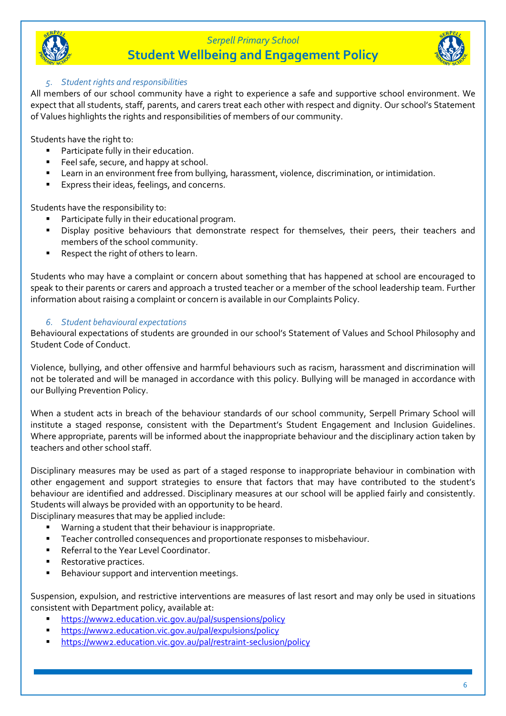

# **Student Wellbeing and Engagement Policy**



#### *5. Student rights and responsibilities*

All members of our school community have a right to experience a safe and supportive school environment. We expect that all students, staff, parents, and carers treat each other with respect and dignity. Our school's Statement of Values highlights the rights and responsibilities of members of our community.

Students have the right to:

- Participate fully in their education.
- Feel safe, secure, and happy at school.
- Learn in an environment free from bullying, harassment, violence, discrimination, or intimidation.
- Express their ideas, feelings, and concerns.

Students have the responsibility to:

- Participate fully in their educational program.
- **EXP** Display positive behaviours that demonstrate respect for themselves, their peers, their teachers and members of the school community.
- Respect the right of others to learn.

Students who may have a complaint or concern about something that has happened at school are encouraged to speak to their parents or carers and approach a trusted teacher or a member of the school leadership team. Further information about raising a complaint or concern is available in our Complaints Policy.

#### *6. Student behavioural expectations*

Behavioural expectations of students are grounded in our school's Statement of Values and School Philosophy and Student Code of Conduct.

Violence, bullying, and other offensive and harmful behaviours such as racism, harassment and discrimination will not be tolerated and will be managed in accordance with this policy. Bullying will be managed in accordance with our Bullying Prevention Policy.

When a student acts in breach of the behaviour standards of our school community, Serpell Primary School will institute a staged response, consistent with the Department's Student Engagement and Inclusion Guidelines. Where appropriate, parents will be informed about the inappropriate behaviour and the disciplinary action taken by teachers and other school staff.

Disciplinary measures may be used as part of a staged response to inappropriate behaviour in combination with other engagement and support strategies to ensure that factors that may have contributed to the student's behaviour are identified and addressed. Disciplinary measures at our school will be applied fairly and consistently. Students will always be provided with an opportunity to be heard.

Disciplinary measures that may be applied include:

- Warning a student that their behaviour is inappropriate.
- Teacher controlled consequences and proportionate responses to misbehaviour.
- Referral to the Year Level Coordinator.
- Restorative practices.
- Behaviour support and intervention meetings.

Suspension, expulsion, and restrictive interventions are measures of last resort and may only be used in situations consistent with Department policy, available at:

- <https://www2.education.vic.gov.au/pal/suspensions/policy>
- <https://www2.education.vic.gov.au/pal/expulsions/policy>
- <https://www2.education.vic.gov.au/pal/restraint-seclusion/policy>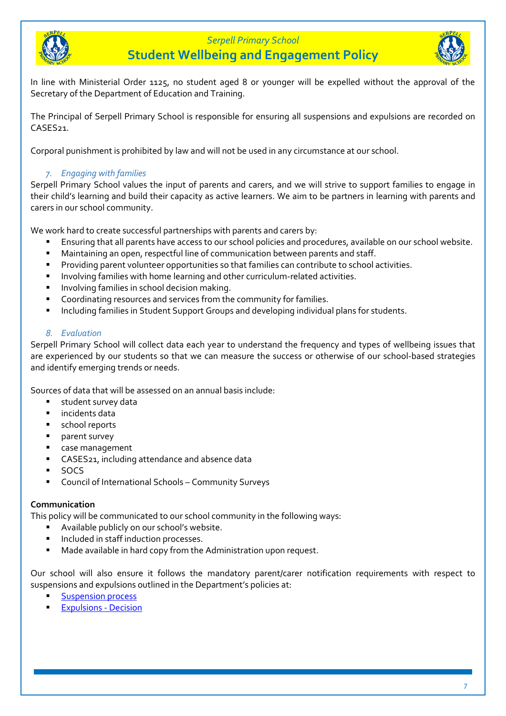

**Student Wellbeing and Engagement Policy**



In line with Ministerial Order 1125, no student aged 8 or younger will be expelled without the approval of the Secretary of the Department of Education and Training.

The Principal of Serpell Primary School is responsible for ensuring all suspensions and expulsions are recorded on CASES<sub>21</sub>

Corporal punishment is prohibited by law and will not be used in any circumstance at our school.

#### *7. Engaging with families*

Serpell Primary School values the input of parents and carers, and we will strive to support families to engage in their child's learning and build their capacity as active learners. We aim to be partners in learning with parents and carers in our school community.

We work hard to create successful partnerships with parents and carers by:

- Ensuring that all parents have access to our school policies and procedures, available on our school website.
- Maintaining an open, respectful line of communication between parents and staff.
- Providing parent volunteer opportunities so that families can contribute to school activities.
- Involving families with home learning and other curriculum-related activities.
- **■** Involving families in school decision making.
- Coordinating resources and services from the community for families.
- Including families in Student Support Groups and developing individual plans for students.

#### *8. Evaluation*

Serpell Primary School will collect data each year to understand the frequency and types of wellbeing issues that are experienced by our students so that we can measure the success or otherwise of our school-based strategies and identify emerging trends or needs.

Sources of data that will be assessed on an annual basis include:

- student survey data
- incidents data
- school reports
- parent survey
- case management
- CASES21, including attendance and absence data
- SOCS
- Council of International Schools Community Surveys

#### **Communication**

This policy will be communicated to our school community in the following ways:

- Available publicly on our school's website.
- Included in staff induction processes.
- Made available in hard copy from the Administration upon request.

Our school will also ensure it follows the mandatory parent/carer notification requirements with respect to suspensions and expulsions outlined in the Department's policies at:

- **[Suspension process](https://www2.education.vic.gov.au/pal/suspensions/guidance/1-suspension-process)**
- **[Expulsions -](https://www2.education.vic.gov.au/pal/expulsions/guidance/decision) Decision**